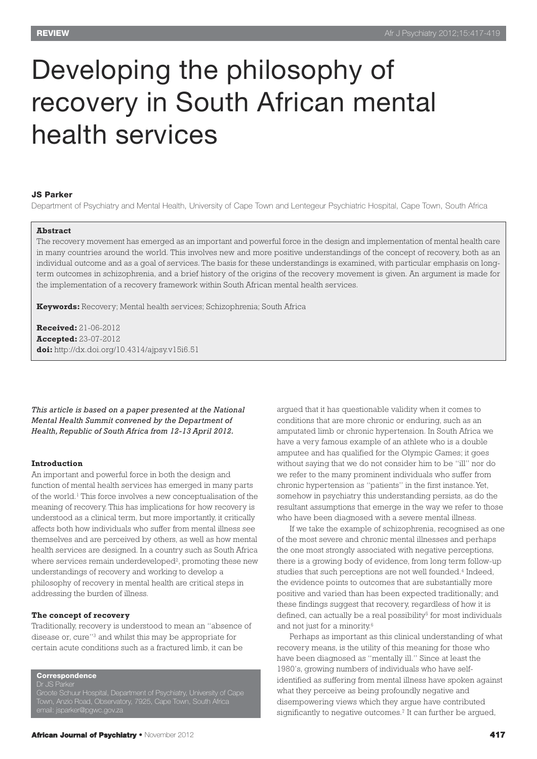### Developing the philosophy of recovery in South African mental health services

#### **JS Parker**

Department of Psychiatry and Mental Health, University of Cape Town and Lentegeur Psychiatric Hospital, Cape Town, South Africa

#### **Abstract**

The recovery movement has emerged as an important and powerful force in the design and implementation of mental health care in many countries around the world. This involves new and more positive understandings of the concept of recovery, both as an individual outcome and as a goal of services. The basis for these understandings is examined, with particular emphasis on longterm outcomes in schizophrenia, and a brief history of the origins of the recovery movement is given. An argument is made for the implementation of a recovery framework within South African mental health services.

**Keywords:** Recovery; Mental health services; Schizophrenia; South Africa

**Received:** 21-06-2012 **Accepted:** 23-07-2012 **doi:** http://dx.doi.org/10.4314/ajpsy.v15i6.51

*This article is based on a paper presented at the National Mental Health Summit convened by the Department of Health, Republic of South Africa from 12-13 April 2012.*

#### **Introduction**

An important and powerful force in both the design and function of mental health services has emerged in many parts of the world. <sup>1</sup> This force involves a new conceptualisation of the meaning of recovery. This has implications for how recovery is understood as a clinical term, but more importantly, it critically affects both how individuals who suffer from mental illness see themselves and are perceived by others, as well as how mental health services are designed. In a country such as South Africa where services remain underdeveloped<sup>2</sup>, promoting these new understandings of recovery and working to develop a philosophy of recovery in mental health are critical steps in addressing the burden of illness.

#### **The concept of recovery**

Traditionally, recovery is understood to mean an "absence of disease or, cure"3 and whilst this may be appropriate for certain acute conditions such as a fractured limb, it can be

#### **Correspondence**

Dr JS Parker

Groote Schuur Hospital, Department of Psychiatry, University of Cape

argued that it has questionable validity when it comes to conditions that are more chronic or enduring, such as an amputated limb or chronic hypertension. In South Africa we have a very famous example of an athlete who is a double amputee and has qualified for the Olympic Games; it goes without saying that we do not consider him to be "ill" nor do we refer to the many prominent individuals who suffer from chronic hypertension as "patients" in the first instance.Yet, somehow in psychiatry this understanding persists, as do the resultant assumptions that emerge in the way we refer to those who have been diagnosed with a severe mental illness.

If we take the example of schizophrenia, recognised as one of the most severe and chronic mental illnesses and perhaps the one most strongly associated with negative perceptions, there is a growing body of evidence, from long term follow-up studies that such perceptions are not well founded. <sup>4</sup> Indeed, the evidence points to outcomes that are substantially more positive and varied than has been expected traditionally; and these findings suggest that recovery, regardless of how it is defined, can actually be a real possibility<sup>5</sup> for most individuals and not just for a minority. 6

Perhaps as important as this clinical understanding of what recovery means, is the utility of this meaning for those who have been diagnosed as "mentally ill." Since at least the 1980's, growing numbers of individuals who have selfidentified as suffering from mental illness have spoken against what they perceive as being profoundly negative and disempowering views which they argue have contributed significantly to negative outcomes. <sup>7</sup> It can further be argued,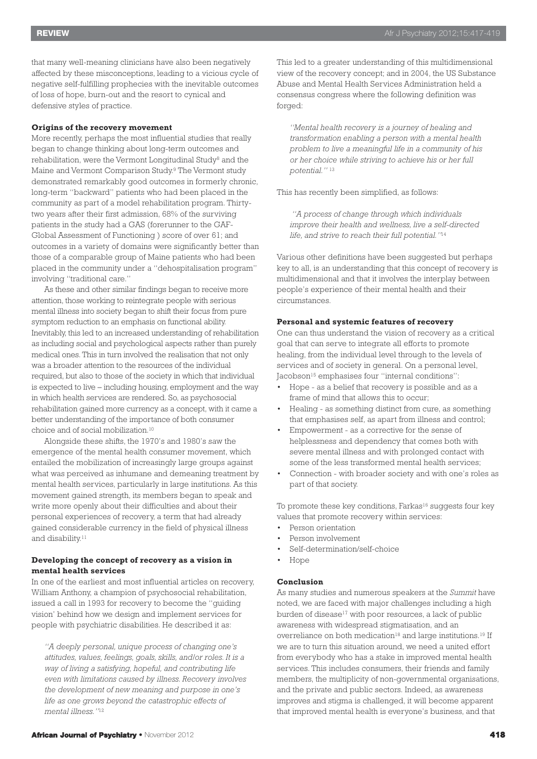that many well-meaning clinicians have also been negatively affected by these misconceptions, leading to a vicious cycle of negative self-fulfilling prophecies with the inevitable outcomes of loss of hope, burn-out and the resort to cynical and defensive styles of practice.

#### **Origins of the recovery movement**

More recently, perhaps the most influential studies that really began to change thinking about long-term outcomes and rehabilitation, were the Vermont Longitudinal Study<sup>8</sup> and the Maine and Vermont Comparison Study. <sup>9</sup> The Vermont study demonstrated remarkably good outcomes in formerly chronic, long-term "backward" patients who had been placed in the community as part of a model rehabilitation program. Thirtytwo years after their first admission, 68% of the surviving patients in the study had a GAS (forerunner to the GAF-Global Assessment of Functioning ) score of over 61; and outcomes in a variety of domains were significantly better than those of a comparable group of Maine patients who had been placed in the community under a "dehospitalisation program" involving "traditional care."

As these and other similar findings began to receive more attention, those working to reintegrate people with serious mental illness into society began to shift their focus from pure symptom reduction to an emphasis on functional ability. Inevitably, this led to an increased understanding of rehabilitation as including social and psychological aspects rather than purely medical ones. This in turn involved the realisation that not only was a broader attention to the resources of the individual required, but also to those of the society in which that individual is expected to live – including housing, employment and the way in which health services are rendered. So, as psychosocial rehabilitation gained more currency as a concept, with it came a better understanding of the importance of both consumer choice and of social mobilization. 10

Alongside these shifts, the 1970's and 1980's saw the emergence of the mental health consumer movement, which entailed the mobilization of increasingly large groups against what was perceived as inhumane and demeaning treatment by mental health services, particularly in large institutions. As this movement gained strength, its members began to speak and write more openly about their difficulties and about their personal experiences of recovery, a term that had already gained considerable currency in the field of physical illness and disability.<sup>11</sup>

#### **Developing the concept of recovery as a vision in mental health services**

In one of the earliest and most influential articles on recovery, William Anthony, a champion of psychosocial rehabilitation, issued a call in 1993 for recovery to become the "guiding vision' behind how we design and implement services for people with psychiatric disabilities. He described it as:

*''A deeply personal, unique process of changing one's attitudes, values, feelings, goals, skills, and/or roles. It is a way of living a satisfying, hopeful, and contributing life even with limitations caused by illness. Recovery involves the development of new meaning and purpose in one's life as one grows beyond the catastrophic effects of mental illness.''* 12

This led to a greater understanding of this multidimensional view of the recovery concept; and in 2004, the US Substance Abuse and Mental Health Services Administration held a consensus congress where the following definition was forged:

*''Mental health recovery is a journey of healing and transformation enabling a person with a mental health problem to live a meaningful life in a community of his or her choice while striving to achieve his or her full potential.''* <sup>13</sup>

This has recently been simplified, as follows:

*"A process of change through which individuals improve their health and wellness, live a self-directed life, and strive to reach their full potential."*<sup>14</sup>

Various other definitions have been suggested but perhaps key to all, is an understanding that this concept of recovery is multidimensional and that it involves the interplay between people's experience of their mental health and their circumstances.

#### **Personal and systemic features of recovery**

One can thus understand the vision of recovery as a critical goal that can serve to integrate all efforts to promote healing, from the individual level through to the levels of services and of society in general. On a personal level, Jacobson<sup>15</sup> emphasises four "internal conditions":

- Hope as a belief that recovery is possible and as a frame of mind that allows this to occur;
- Healing as something distinct from cure, as something that emphasises self, as apart from illness and control;
- Empowerment as a corrective for the sense of helplessness and dependency that comes both with severe mental illness and with prolonged contact with some of the less transformed mental health services;
- Connection with broader society and with one's roles as part of that society.

To promote these key conditions, Farkas<sup>16</sup> suggests four key values that promote recovery within services:

- Person orientation
- Person involvement
- Self-determination/self-choice
- Hope

#### **Conclusion**

As many studies and numerous speakers at the *Summit* have noted, we are faced with major challenges including a high burden of disease<sup>17</sup> with poor resources, a lack of public awareness with widespread stigmatisation, and an overreliance on both medication<sup>18</sup> and large institutions.<sup>19</sup> If we are to turn this situation around, we need a united effort from everybody who has a stake in improved mental health services. This includes consumers, their friends and family members, the multiplicity of non-governmental organisations, and the private and public sectors. Indeed, as awareness improves and stigma is challenged, it will become apparent that improved mental health is everyone's business, and that